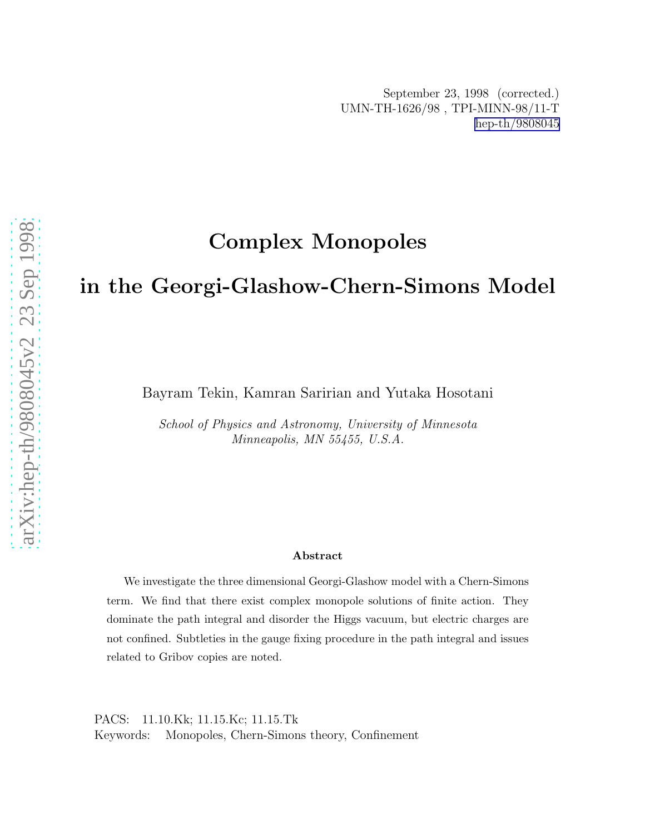# Complex Monopoles

# in the Georgi-Glashow-Chern-Simons Model

Bayram Tekin, Kamran Saririan and Yutaka Hosotani

School of Physics and Astronomy, University of Minnesota Minneapolis, MN 55455, U.S.A.

#### Abstract

We investigate the three dimensional Georgi-Glashow model with a Chern-Simons term. We find that there exist complex monopole solutions of finite action. They dominate the path integral and disorder the Higgs vacuum, but electric charges are not confined. Subtleties in the gauge fixing procedure in the path integral and issues related to Gribov copies are noted.

PACS: 11.10.Kk; 11.15.Kc; 11.15.Tk Keywords: Monopoles, Chern-Simons theory, Confinement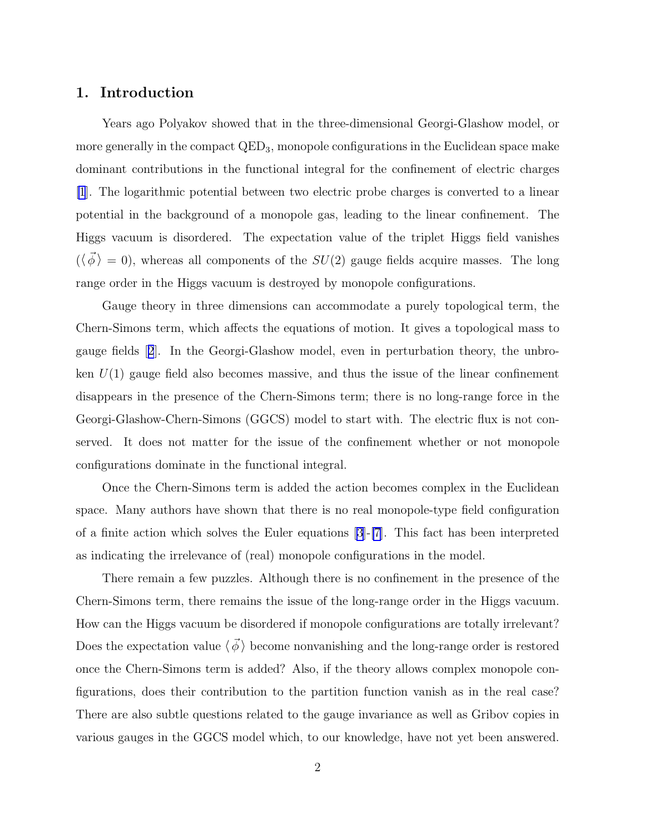### 1. Introduction

Years ago Polyakov showed that in the three-dimensional Georgi-Glashow model, or more generally in the compact  $QED_3$ , monopole configurations in the Euclidean space make dominant contributions in the functional integral for the confinement of electric charges [\[1](#page-23-0)]. The logarithmic potential between two electric probe charges is converted to a linear potential in the background of a monopole gas, leading to the linear confinement. The Higgs vacuum is disordered. The expectation value of the triplet Higgs field vanishes  $(\langle \vec{\phi} \rangle = 0)$ , whereas all components of the  $SU(2)$  gauge fields acquire masses. The long range order in the Higgs vacuum is destroyed by monopole configurations.

Gauge theory in three dimensions can accommodate a purely topological term, the Chern-Simons term, which affects the equations of motion. It gives a topological mass to gauge fields[[2](#page-23-0)]. In the Georgi-Glashow model, even in perturbation theory, the unbroken  $U(1)$  gauge field also becomes massive, and thus the issue of the linear confinement disappears in the presence of the Chern-Simons term; there is no long-range force in the Georgi-Glashow-Chern-Simons (GGCS) model to start with. The electric flux is not conserved. It does not matter for the issue of the confinement whether or not monopole configurations dominate in the functional integral.

Once the Chern-Simons term is added the action becomes complex in the Euclidean space. Many authors have shown that there is no real monopole-type field configuration of a finite action which solves the Euler equations [\[3\]](#page-23-0)-[\[7](#page-23-0)]. This fact has been interpreted as indicating the irrelevance of (real) monopole configurations in the model.

There remain a few puzzles. Although there is no confinement in the presence of the Chern-Simons term, there remains the issue of the long-range order in the Higgs vacuum. How can the Higgs vacuum be disordered if monopole configurations are totally irrelevant? Does the expectation value  $\langle \phi \rangle$  become nonvanishing and the long-range order is restored once the Chern-Simons term is added? Also, if the theory allows complex monopole configurations, does their contribution to the partition function vanish as in the real case? There are also subtle questions related to the gauge invariance as well as Gribov copies in various gauges in the GGCS model which, to our knowledge, have not yet been answered.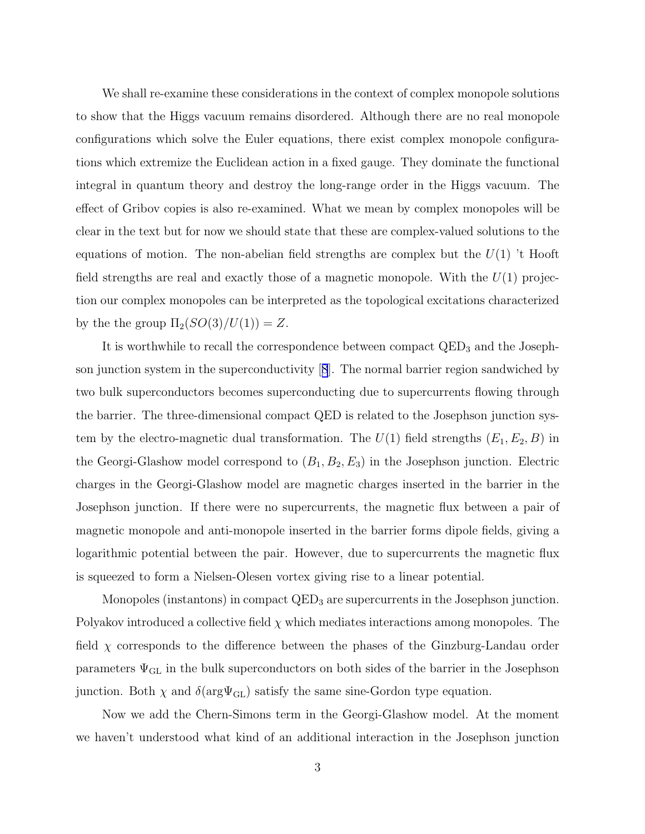We shall re-examine these considerations in the context of complex monopole solutions to show that the Higgs vacuum remains disordered. Although there are no real monopole configurations which solve the Euler equations, there exist complex monopole configurations which extremize the Euclidean action in a fixed gauge. They dominate the functional integral in quantum theory and destroy the long-range order in the Higgs vacuum. The effect of Gribov copies is also re-examined. What we mean by complex monopoles will be clear in the text but for now we should state that these are complex-valued solutions to the equations of motion. The non-abelian field strengths are complex but the  $U(1)$  't Hooft field strengths are real and exactly those of a magnetic monopole. With the  $U(1)$  projection our complex monopoles can be interpreted as the topological excitations characterized by the the group  $\Pi_2(SO(3)/U(1)) = Z$ .

It is worthwhile to recall the correspondence between compact  $QED<sub>3</sub>$  and the Josephson junction system in the superconductivity[[8](#page-23-0)]. The normal barrier region sandwiched by two bulk superconductors becomes superconducting due to supercurrents flowing through the barrier. The three-dimensional compact QED is related to the Josephson junction system by the electro-magnetic dual transformation. The  $U(1)$  field strengths  $(E_1, E_2, B)$  in the Georgi-Glashow model correspond to  $(B_1, B_2, E_3)$  in the Josephson junction. Electric charges in the Georgi-Glashow model are magnetic charges inserted in the barrier in the Josephson junction. If there were no supercurrents, the magnetic flux between a pair of magnetic monopole and anti-monopole inserted in the barrier forms dipole fields, giving a logarithmic potential between the pair. However, due to supercurrents the magnetic flux is squeezed to form a Nielsen-Olesen vortex giving rise to a linear potential.

Monopoles (instantons) in compact QED<sub>3</sub> are supercurrents in the Josephson junction. Polyakov introduced a collective field  $\chi$  which mediates interactions among monopoles. The field  $\chi$  corresponds to the difference between the phases of the Ginzburg-Landau order parameters  $\Psi_{\text{GL}}$  in the bulk superconductors on both sides of the barrier in the Josephson junction. Both  $\chi$  and  $\delta(\text{arg}\Psi_{\text{GL}})$  satisfy the same sine-Gordon type equation.

Now we add the Chern-Simons term in the Georgi-Glashow model. At the moment we haven't understood what kind of an additional interaction in the Josephson junction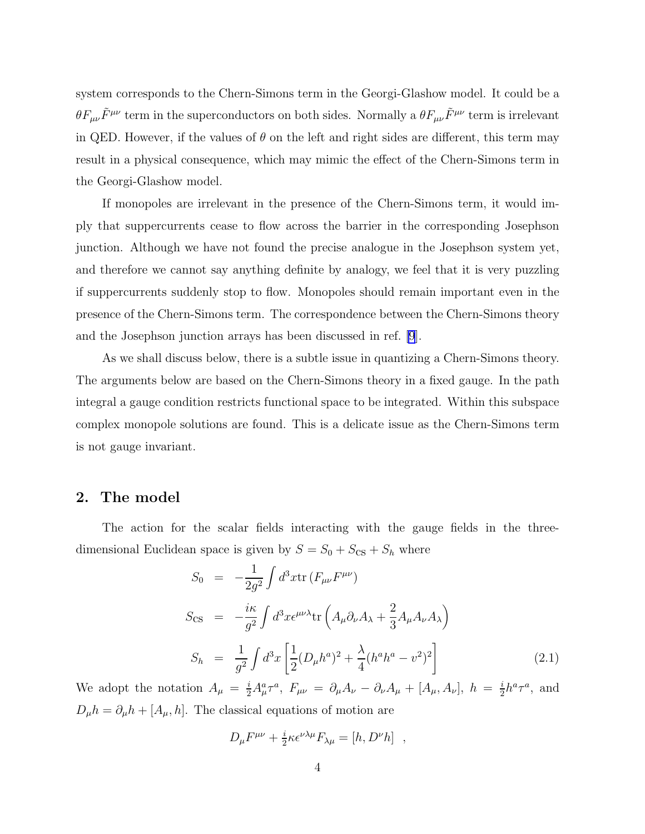<span id="page-3-0"></span>system corresponds to the Chern-Simons term in the Georgi-Glashow model. It could be a  $\theta F_{\mu\nu}\tilde{F}^{\mu\nu}$  term in the superconductors on both sides. Normally a  $\theta F_{\mu\nu}\tilde{F}^{\mu\nu}$  term is irrelevant in QED. However, if the values of  $\theta$  on the left and right sides are different, this term may result in a physical consequence, which may mimic the effect of the Chern-Simons term in the Georgi-Glashow model.

If monopoles are irrelevant in the presence of the Chern-Simons term, it would imply that suppercurrents cease to flow across the barrier in the corresponding Josephson junction. Although we have not found the precise analogue in the Josephson system yet, and therefore we cannot say anything definite by analogy, we feel that it is very puzzling if suppercurrents suddenly stop to flow. Monopoles should remain important even in the presence of the Chern-Simons term. The correspondence between the Chern-Simons theory and the Josephson junction arrays has been discussed in ref. [\[9](#page-23-0)].

As we shall discuss below, there is a subtle issue in quantizing a Chern-Simons theory. The arguments below are based on the Chern-Simons theory in a fixed gauge. In the path integral a gauge condition restricts functional space to be integrated. Within this subspace complex monopole solutions are found. This is a delicate issue as the Chern-Simons term is not gauge invariant.

### 2. The model

The action for the scalar fields interacting with the gauge fields in the threedimensional Euclidean space is given by  $S = S_0 + S_{\text{CS}} + S_h$  where

$$
S_0 = -\frac{1}{2g^2} \int d^3x \text{tr} \left( F_{\mu\nu} F^{\mu\nu} \right)
$$
  
\n
$$
S_{\text{CS}} = -\frac{i\kappa}{g^2} \int d^3x \epsilon^{\mu\nu\lambda} \text{tr} \left( A_\mu \partial_\nu A_\lambda + \frac{2}{3} A_\mu A_\nu A_\lambda \right)
$$
  
\n
$$
S_h = \frac{1}{g^2} \int d^3x \left[ \frac{1}{2} (D_\mu h^a)^2 + \frac{\lambda}{4} (h^a h^a - v^2)^2 \right]
$$
(2.1)

We adopt the notation  $A_\mu = \frac{i}{2} A_\mu^a \tau^a$ ,  $F_{\mu\nu} = \partial_\mu A_\nu - \partial_\nu A_\mu + [A_\mu, A_\nu]$ ,  $h = \frac{i}{2}$  $\frac{i}{2}h^a\tau^a$ , and  $D_{\mu}h = \partial_{\mu}h + [A_{\mu}, h]$ . The classical equations of motion are

$$
D_{\mu}F^{\mu\nu} + \frac{i}{2}\kappa \epsilon^{\nu\lambda\mu}F_{\lambda\mu} = [h, D^{\nu}h] ,
$$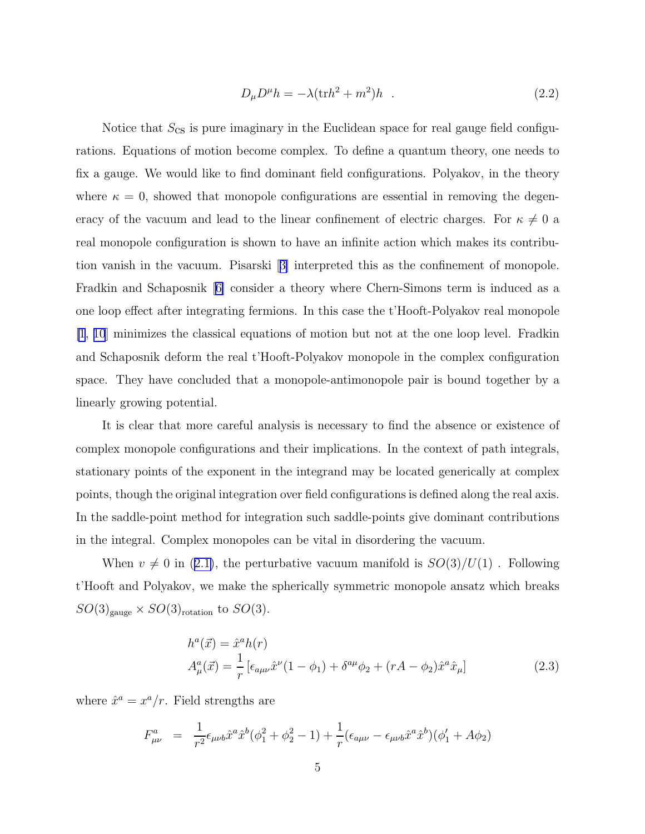$$
D_{\mu}D^{\mu}h = -\lambda(\text{tr}h^2 + m^2)h \quad . \tag{2.2}
$$

<span id="page-4-0"></span>Notice that  $S_{\text{CS}}$  is pure imaginary in the Euclidean space for real gauge field configurations. Equations of motion become complex. To define a quantum theory, one needs to fix a gauge. We would like to find dominant field configurations. Polyakov, in the theory where  $\kappa = 0$ , showed that monopole configurations are essential in removing the degeneracy of the vacuum and lead to the linear confinement of electric charges. For  $\kappa \neq 0$  a real monopole configuration is shown to have an infinite action which makes its contribution vanish in the vacuum. Pisarski[[3\]](#page-23-0) interpreted this as the confinement of monopole. Fradkin and Schaposnik[[6\]](#page-23-0) consider a theory where Chern-Simons term is induced as a one loop effect after integrating fermions. In this case the t'Hooft-Polyakov real monopole [\[1](#page-23-0), [10](#page-23-0)] minimizes the classical equations of motion but not at the one loop level. Fradkin and Schaposnik deform the real t'Hooft-Polyakov monopole in the complex configuration space. They have concluded that a monopole-antimonopole pair is bound together by a linearly growing potential.

It is clear that more careful analysis is necessary to find the absence or existence of complex monopole configurations and their implications. In the context of path integrals, stationary points of the exponent in the integrand may be located generically at complex points, though the original integration over field configurations is defined along the real axis. In the saddle-point method for integration such saddle-points give dominant contributions in the integral. Complex monopoles can be vital in disordering the vacuum.

When $v \neq 0$  in ([2.1\)](#page-3-0), the perturbative vacuum manifold is  $SO(3)/U(1)$ . Following t'Hooft and Polyakov, we make the spherically symmetric monopole ansatz which breaks  $SO(3)_{\text{gauge}} \times SO(3)_{\text{rotation}}$  to  $SO(3)$ .

$$
h^{a}(\vec{x}) = \hat{x}^{a}h(r)
$$
  
\n
$$
A_{\mu}^{a}(\vec{x}) = \frac{1}{r} \left[ \epsilon_{a\mu\nu} \hat{x}^{\nu} (1 - \phi_{1}) + \delta^{a\mu} \phi_{2} + (rA - \phi_{2}) \hat{x}^{a} \hat{x}_{\mu} \right]
$$
\n(2.3)

where  $\hat{x}^a = x^a/r$ . Field strengths are

$$
F^{a}_{\mu\nu} = \frac{1}{r^2} \epsilon_{\mu\nu b} \hat{x}^a \hat{x}^b (\phi_1^2 + \phi_2^2 - 1) + \frac{1}{r} (\epsilon_{a\mu\nu} - \epsilon_{\mu\nu b} \hat{x}^a \hat{x}^b)(\phi_1' + A\phi_2)
$$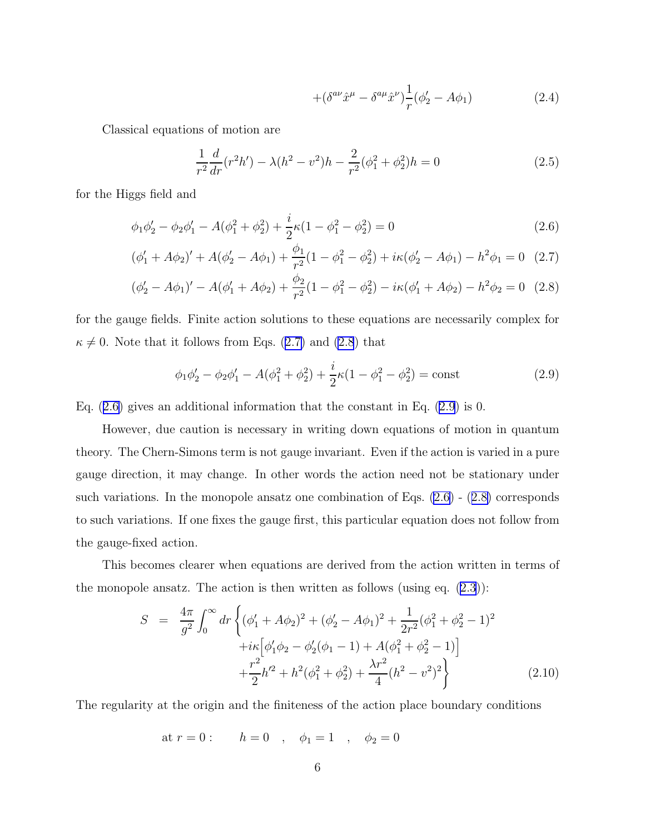$$
+(\delta^{a\nu}\hat{x}^{\mu} - \delta^{a\mu}\hat{x}^{\nu})\frac{1}{r}(\phi_2' - A\phi_1)
$$
\n(2.4)

<span id="page-5-0"></span>Classical equations of motion are

$$
\frac{1}{r^2}\frac{d}{dr}(r^2h') - \lambda(h^2 - v^2)h - \frac{2}{r^2}(\phi_1^2 + \phi_2^2)h = 0
$$
\n(2.5)

for the Higgs field and

$$
\phi_1 \phi_2' - \phi_2 \phi_1' - A(\phi_1^2 + \phi_2^2) + \frac{i}{2} \kappa (1 - \phi_1^2 - \phi_2^2) = 0 \tag{2.6}
$$

$$
(\phi'_1 + A\phi_2)' + A(\phi'_2 - A\phi_1) + \frac{\phi_1}{r^2}(1 - \phi_1^2 - \phi_2^2) + i\kappa(\phi'_2 - A\phi_1) - h^2\phi_1 = 0 \quad (2.7)
$$

$$
(\phi_2' - A\phi_1)' - A(\phi_1' + A\phi_2) + \frac{\phi_2}{r^2}(1 - \phi_1^2 - \phi_2^2) - i\kappa(\phi_1' + A\phi_2) - h^2\phi_2 = 0
$$
 (2.8)

for the gauge fields. Finite action solutions to these equations are necessarily complex for  $\kappa \neq 0$ . Note that it follows from Eqs. (2.7) and (2.8) that

$$
\phi_1 \phi_2' - \phi_2 \phi_1' - A(\phi_1^2 + \phi_2^2) + \frac{i}{2} \kappa (1 - \phi_1^2 - \phi_2^2) = \text{const}
$$
 (2.9)

Eq.  $(2.6)$  gives an additional information that the constant in Eq.  $(2.9)$  is 0.

However, due caution is necessary in writing down equations of motion in quantum theory. The Chern-Simons term is not gauge invariant. Even if the action is varied in a pure gauge direction, it may change. In other words the action need not be stationary under such variations. In the monopole ansatz one combination of Eqs. (2.6) - (2.8) corresponds to such variations. If one fixes the gauge first, this particular equation does not follow from the gauge-fixed action.

This becomes clearer when equations are derived from the action written in terms of the monopole ansatz. The action is then written as follows (using eq.  $(2.3)$  $(2.3)$ ):

$$
S = \frac{4\pi}{g^2} \int_0^\infty dr \left\{ (\phi_1' + A\phi_2)^2 + (\phi_2' - A\phi_1)^2 + \frac{1}{2r^2} (\phi_1^2 + \phi_2^2 - 1)^2 + i\kappa \left[ \phi_1' \phi_2 - \phi_2' (\phi_1 - 1) + A(\phi_1^2 + \phi_2^2 - 1) \right] + \frac{r^2}{2} h'^2 + h^2 (\phi_1^2 + \phi_2^2) + \frac{\lambda r^2}{4} (h^2 - v^2)^2 \right\}
$$
(2.10)

The regularity at the origin and the finiteness of the action place boundary conditions

at 
$$
r = 0
$$
:  $h = 0$ ,  $\phi_1 = 1$ ,  $\phi_2 = 0$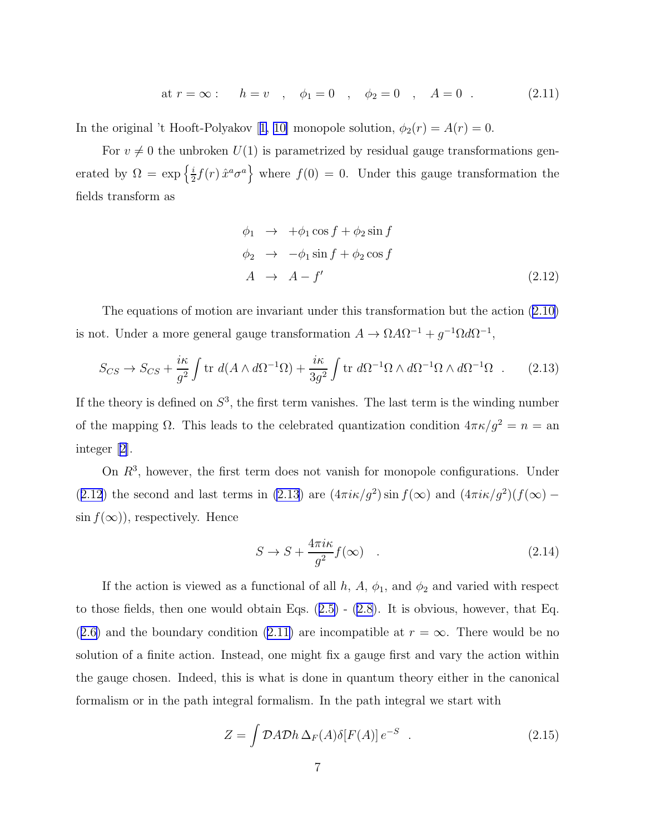at 
$$
r = \infty
$$
:  $h = v$ ,  $\phi_1 = 0$ ,  $\phi_2 = 0$ ,  $A = 0$ . (2.11)

<span id="page-6-0"></span>Inthe original 't Hooft-Polyakov [[1, 10\]](#page-23-0) monopole solution,  $\phi_2(r) = A(r) = 0$ .

For  $v \neq 0$  the unbroken  $U(1)$  is parametrized by residual gauge transformations generated by  $\Omega = \exp\left\{\frac{i}{2}\right\}$  $\left\{\frac{i}{2}f(r)\,\hat{x}^a\sigma^a\right\}$  where  $f(0)=0$ . Under this gauge transformation the fields transform as

$$
\begin{aligned}\n\phi_1 &\to \quad +\phi_1 \cos f + \phi_2 \sin f \\
\phi_2 &\to \quad -\phi_1 \sin f + \phi_2 \cos f \\
A &\to \quad A - f'\n\end{aligned} \tag{2.12}
$$

The equations of motion are invariant under this transformation but the action([2.10\)](#page-5-0) is not. Under a more general gauge transformation  $A \to \Omega A \Omega^{-1} + g^{-1} \Omega d \Omega^{-1}$ ,

$$
S_{CS} \to S_{CS} + \frac{i\kappa}{g^2} \int \text{tr } d(A \wedge d\Omega^{-1}\Omega) + \frac{i\kappa}{3g^2} \int \text{tr } d\Omega^{-1}\Omega \wedge d\Omega^{-1}\Omega \wedge d\Omega^{-1}\Omega \quad . \tag{2.13}
$$

If the theory is defined on  $S^3$ , the first term vanishes. The last term is the winding number of the mapping  $\Omega$ . This leads to the celebrated quantization condition  $4\pi\kappa/g^2 = n =$  and integer[[2\]](#page-23-0).

On  $R<sup>3</sup>$ , however, the first term does not vanish for monopole configurations. Under (2.12) the second and last terms in (2.13) are  $(4\pi i \kappa / g^2) \sin f(\infty)$  and  $(4\pi i \kappa / g^2)(f(\infty) \sin f(\infty)$ , respectively. Hence

$$
S \to S + \frac{4\pi i\kappa}{g^2} f(\infty) \quad . \tag{2.14}
$$

If the action is viewed as a functional of all h, A,  $\phi_1$ , and  $\phi_2$  and varied with respect tothose fields, then one would obtain Eqs.  $(2.5)$  $(2.5)$  -  $(2.8)$  $(2.8)$ . It is obvious, however, that Eq. ([2.6\)](#page-5-0)and the boundary condition ([2.11\)](#page-5-0) are incompatible at  $r = \infty$ . There would be no solution of a finite action. Instead, one might fix a gauge first and vary the action within the gauge chosen. Indeed, this is what is done in quantum theory either in the canonical formalism or in the path integral formalism. In the path integral we start with

$$
Z = \int \mathcal{D}A \mathcal{D}h \,\Delta_F(A)\delta[F(A)] \, e^{-S} \quad . \tag{2.15}
$$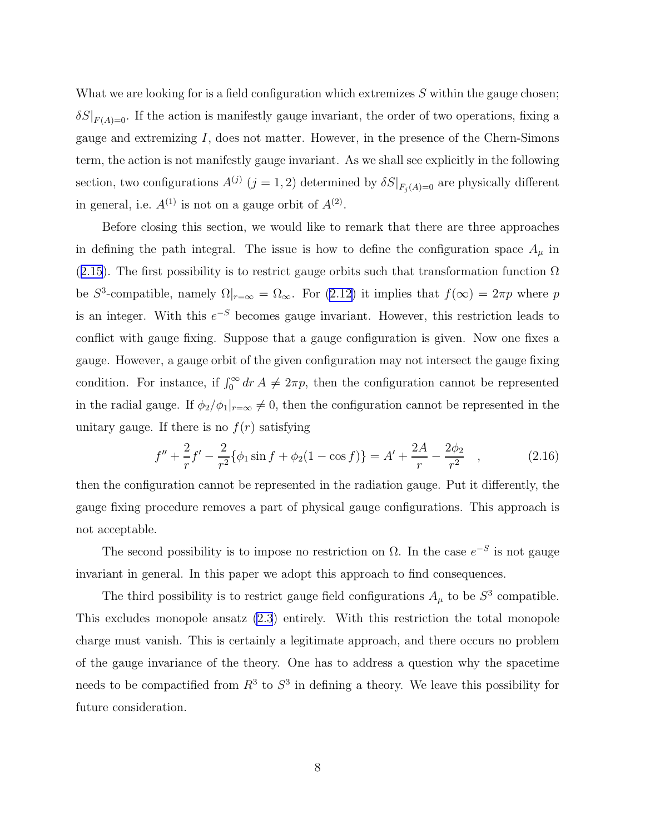What we are looking for is a field configuration which extremizes  $S$  within the gauge chosen;  $\delta S|_{F(A)=0}$ . If the action is manifestly gauge invariant, the order of two operations, fixing a gauge and extremizing I, does not matter. However, in the presence of the Chern-Simons term, the action is not manifestly gauge invariant. As we shall see explicitly in the following section, two configurations  $A^{(j)}$   $(j = 1, 2)$  determined by  $\delta S|_{F_j(A)=0}$  are physically different in general, i.e.  $A^{(1)}$  is not on a gauge orbit of  $A^{(2)}$ .

Before closing this section, we would like to remark that there are three approaches in defining the path integral. The issue is how to define the configuration space  $A_\mu$  in ([2.15](#page-6-0)). The first possibility is to restrict gauge orbits such that transformation function  $\Omega$ be  $S^3$ -compatible, namely  $\Omega|_{r=\infty} = \Omega_{\infty}$ . For  $(2.12)$  it implies that  $f(\infty) = 2\pi p$  where p is an integer. With this  $e^{-S}$  becomes gauge invariant. However, this restriction leads to conflict with gauge fixing. Suppose that a gauge configuration is given. Now one fixes a gauge. However, a gauge orbit of the given configuration may not intersect the gauge fixing condition. For instance, if  $\int_0^\infty dr \, A \neq 2\pi p$ , then the configuration cannot be represented in the radial gauge. If  $\phi_2/\phi_1|_{r=\infty} \neq 0$ , then the configuration cannot be represented in the unitary gauge. If there is no  $f(r)$  satisfying

$$
f'' + \frac{2}{r}f' - \frac{2}{r^2}\{\phi_1 \sin f + \phi_2(1 - \cos f)\} = A' + \frac{2A}{r} - \frac{2\phi_2}{r^2} \quad , \tag{2.16}
$$

then the configuration cannot be represented in the radiation gauge. Put it differently, the gauge fixing procedure removes a part of physical gauge configurations. This approach is not acceptable.

The second possibility is to impose no restriction on  $\Omega$ . In the case  $e^{-S}$  is not gauge invariant in general. In this paper we adopt this approach to find consequences.

The third possibility is to restrict gauge field configurations  $A_{\mu}$  to be  $S^3$  compatible. This excludes monopole ansatz [\(2.3](#page-4-0)) entirely. With this restriction the total monopole charge must vanish. This is certainly a legitimate approach, and there occurs no problem of the gauge invariance of the theory. One has to address a question why the spacetime needs to be compactified from  $R^3$  to  $S^3$  in defining a theory. We leave this possibility for future consideration.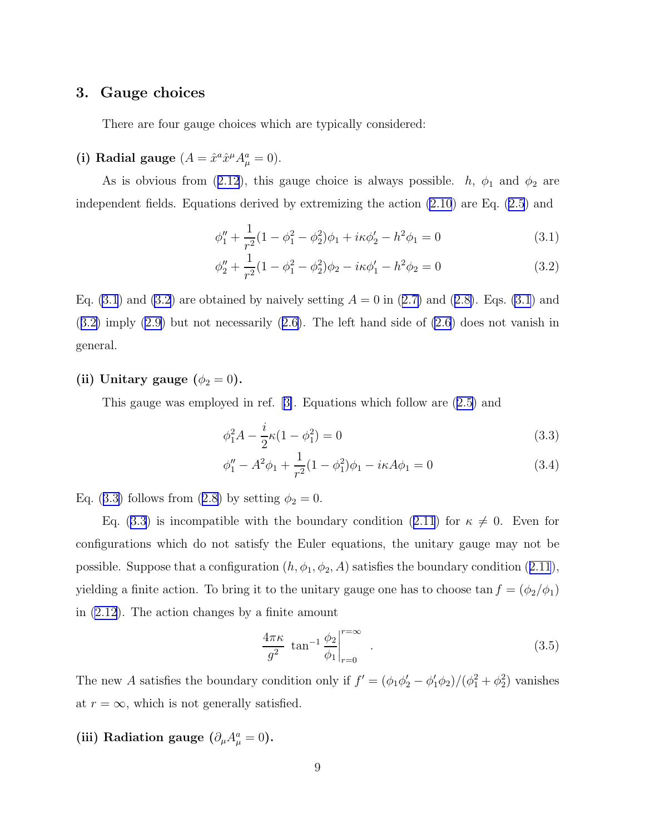### <span id="page-8-0"></span>3. Gauge choices

There are four gauge choices which are typically considered:

# (i) Radial gauge  $(A = \hat{x}^a \hat{x}^\mu A_\mu^a = 0)$ .

Asis obvious from ([2.12](#page-6-0)), this gauge choice is always possible.  $h$ ,  $\phi_1$  and  $\phi_2$  are independent fields. Equations derived by extremizing the action [\(2.10](#page-5-0)) are Eq. [\(2.5](#page-5-0)) and

$$
\phi_1'' + \frac{1}{r^2} (1 - \phi_1^2 - \phi_2^2) \phi_1 + i\kappa \phi_2' - h^2 \phi_1 = 0 \tag{3.1}
$$

$$
\phi_2'' + \frac{1}{r^2} (1 - \phi_1^2 - \phi_2^2) \phi_2 - i\kappa \phi_1' - h^2 \phi_2 = 0
$$
\n(3.2)

Eq. $(3.1)$  and  $(3.2)$  are obtained by naively setting  $A = 0$  in  $(2.7)$  $(2.7)$  and  $(2.8)$  $(2.8)$ . Eqs.  $(3.1)$  and (3.2) imply([2.9\)](#page-5-0) but not necessarily([2.6\)](#page-5-0). The left hand side of [\(2.6](#page-5-0)) does not vanish in general.

### (ii) Unitary gauge  $(\phi_2 = 0)$ .

This gauge was employed in ref.[[3\]](#page-23-0). Equations which follow are([2.5\)](#page-5-0) and

$$
\phi_1^2 A - \frac{i}{2} \kappa (1 - \phi_1^2) = 0 \tag{3.3}
$$

$$
\phi_1'' - A^2 \phi_1 + \frac{1}{r^2} (1 - \phi_1^2) \phi_1 - i\kappa A \phi_1 = 0 \tag{3.4}
$$

Eq.(3.3) follows from ([2.8\)](#page-5-0) by setting  $\phi_2 = 0$ .

Eq.(3.3) is incompatible with the boundary condition ([2.11](#page-5-0)) for  $\kappa \neq 0$ . Even for configurations which do not satisfy the Euler equations, the unitary gauge may not be possible.Suppose that a configuration  $(h, \phi_1, \phi_2, A)$  satisfies the boundary condition ([2.11](#page-5-0)), yielding a finite action. To bring it to the unitary gauge one has to choose tan  $f = (\phi_2/\phi_1)$ in [\(2.12](#page-6-0)). The action changes by a finite amount

$$
\frac{4\pi\kappa}{g^2} \tan^{-1} \frac{\phi_2}{\phi_1}\Big|_{r=0}^{r=\infty} \quad . \tag{3.5}
$$

The new A satisfies the boundary condition only if  $f' = (\phi_1 \phi_2' - \phi_1' \phi_2)/(\phi_1^2 + \phi_2^2)$  vanishes at  $r = \infty$ , which is not generally satisfied.

# (iii) Radiation gauge  $(\partial_{\mu}A_{\mu}^{a}=0)$ .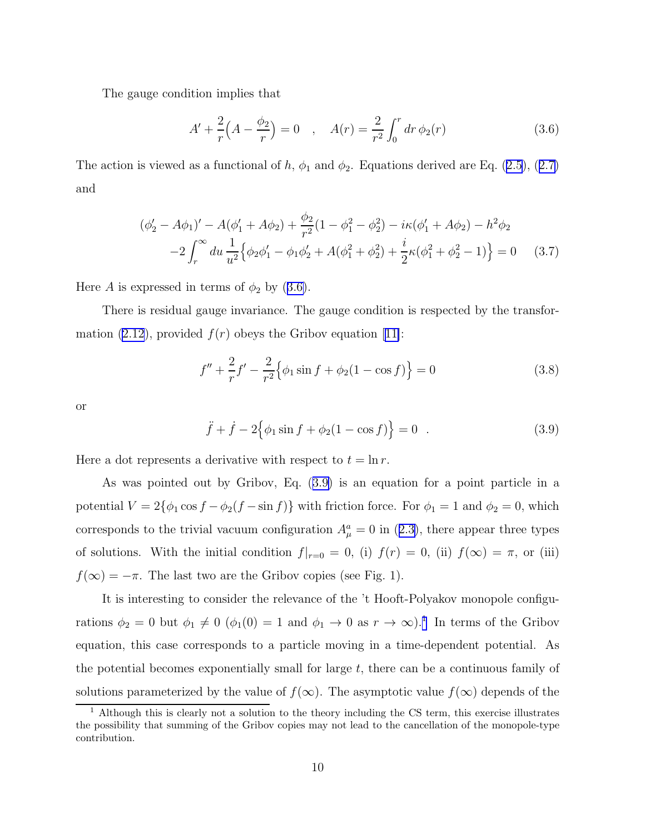<span id="page-9-0"></span>The gauge condition implies that

$$
A' + \frac{2}{r} \left( A - \frac{\phi_2}{r} \right) = 0 \quad , \quad A(r) = \frac{2}{r^2} \int_0^r dr \, \phi_2(r) \tag{3.6}
$$

Theaction is viewed as a functional of h,  $\phi_1$  and  $\phi_2$ . Equations derived are Eq. ([2.5\)](#page-5-0), ([2.7\)](#page-5-0) and

$$
(\phi_2' - A\phi_1)' - A(\phi_1' + A\phi_2) + \frac{\phi_2}{r^2}(1 - \phi_1^2 - \phi_2^2) - i\kappa(\phi_1' + A\phi_2) - h^2\phi_2
$$
  

$$
-2\int_r^\infty du \frac{1}{u^2} \Big\{\phi_2\phi_1' - \phi_1\phi_2' + A(\phi_1^2 + \phi_2^2) + \frac{i}{2}\kappa(\phi_1^2 + \phi_2^2 - 1) \Big\} = 0 \quad (3.7)
$$

Here A is expressed in terms of  $\phi_2$  by (3.6).

There is residual gauge invariance. The gauge condition is respected by the transfor-mation [\(2.12](#page-6-0)),provided  $f(r)$  obeys the Gribov equation [[11\]](#page-23-0):

$$
f'' + \frac{2}{r}f' - \frac{2}{r^2} \Big\{\phi_1 \sin f + \phi_2 (1 - \cos f) \Big\} = 0
$$
 (3.8)

or

$$
\ddot{f} + \dot{f} - 2\{\phi_1 \sin f + \phi_2 (1 - \cos f)\} = 0 \quad . \tag{3.9}
$$

Here a dot represents a derivative with respect to  $t = \ln r$ .

As was pointed out by Gribov, Eq. (3.9) is an equation for a point particle in a potential  $V = 2{\phi_1 \cos f - \phi_2(f - \sin f)}$  with friction force. For  $\phi_1 = 1$  and  $\phi_2 = 0$ , which correspondsto the trivial vacuum configuration  $A^a_\mu = 0$  in ([2.3\)](#page-4-0), there appear three types of solutions. With the initial condition  $f|_{r=0} = 0$ , (i)  $f(r) = 0$ , (ii)  $f(\infty) = \pi$ , or (iii)  $f(\infty) = -\pi$ . The last two are the Gribov copies (see Fig. 1).

It is interesting to consider the relevance of the 't Hooft-Polyakov monopole configurations  $\phi_2 = 0$  but  $\phi_1 \neq 0$  ( $\phi_1(0) = 1$  and  $\phi_1 \to 0$  as  $r \to \infty$ ).<sup>1</sup> In terms of the Gribov equation, this case corresponds to a particle moving in a time-dependent potential. As the potential becomes exponentially small for large  $t$ , there can be a continuous family of solutions parameterized by the value of  $f(\infty)$ . The asymptotic value  $f(\infty)$  depends of the

<sup>&</sup>lt;sup>1</sup> Although this is clearly not a solution to the theory including the CS term, this exercise illustrates the possibility that summing of the Gribov copies may not lead to the cancellation of the monopole-type contribution.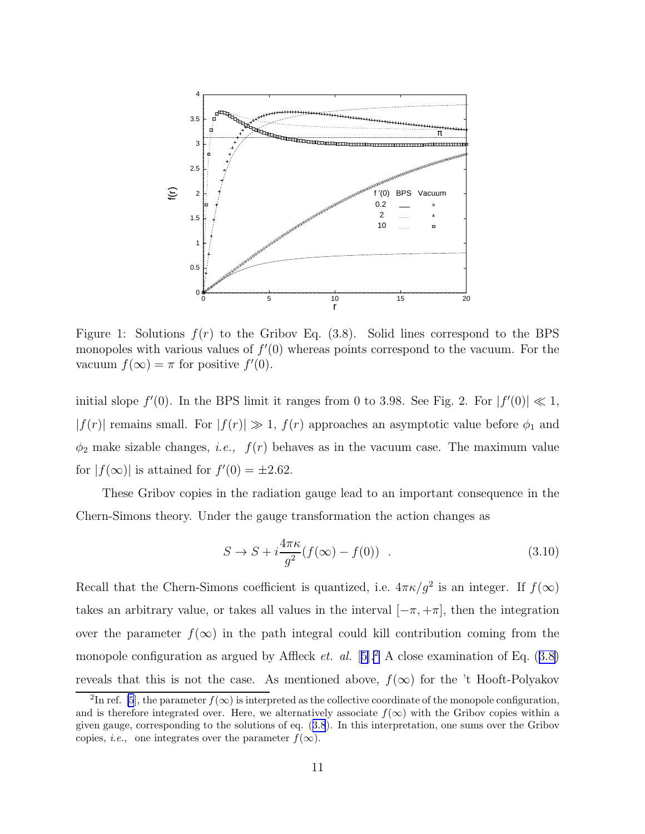

Figure 1: Solutions  $f(r)$  to the Gribov Eq. (3.8). Solid lines correspond to the BPS monopoles with various values of  $f'(0)$  whereas points correspond to the vacuum. For the vacuum  $f(\infty) = \pi$  for positive  $f'(0)$ .

initial slope  $f'(0)$ . In the BPS limit it ranges from 0 to 3.98. See Fig. 2. For  $|f'(0)| \ll 1$ ,  $|f(r)|$  remains small. For  $|f(r)| \gg 1$ ,  $f(r)$  approaches an asymptotic value before  $\phi_1$  and  $\phi_2$  make sizable changes, *i.e.*,  $f(r)$  behaves as in the vacuum case. The maximum value for  $|f(\infty)|$  is attained for  $f'(0) = \pm 2.62$ .

These Gribov copies in the radiation gauge lead to an important consequence in the Chern-Simons theory. Under the gauge transformation the action changes as

$$
S \to S + i\frac{4\pi\kappa}{g^2}(f(\infty) - f(0)) \quad . \tag{3.10}
$$

Recall that the Chern-Simons coefficient is quantized, i.e.  $4\pi\kappa/g^2$  is an integer. If  $f(\infty)$ takes an arbitrary value, or takes all values in the interval  $[-\pi, +\pi]$ , then the integration over the parameter  $f(\infty)$  in the path integral could kill contribution coming from the monopoleconfiguration as argued by Affleck *et. al.* [[5\]](#page-23-0).<sup>2</sup> A close examination of Eq. ([3.8\)](#page-9-0) reveals that this is not the case. As mentioned above,  $f(\infty)$  for the 't Hooft-Polyakov

<sup>&</sup>lt;sup>2</sup>In ref. [\[5](#page-23-0)], the parameter  $f(\infty)$  is interpreted as the collective coordinate of the monopole configuration, and is therefore integrated over. Here, we alternatively associate  $f(\infty)$  with the Gribov copies within a given gauge, corresponding to the solutions of eq.([3.8](#page-9-0)). In this interpretation, one sums over the Gribov copies, *i.e.*, one integrates over the parameter  $f(\infty)$ .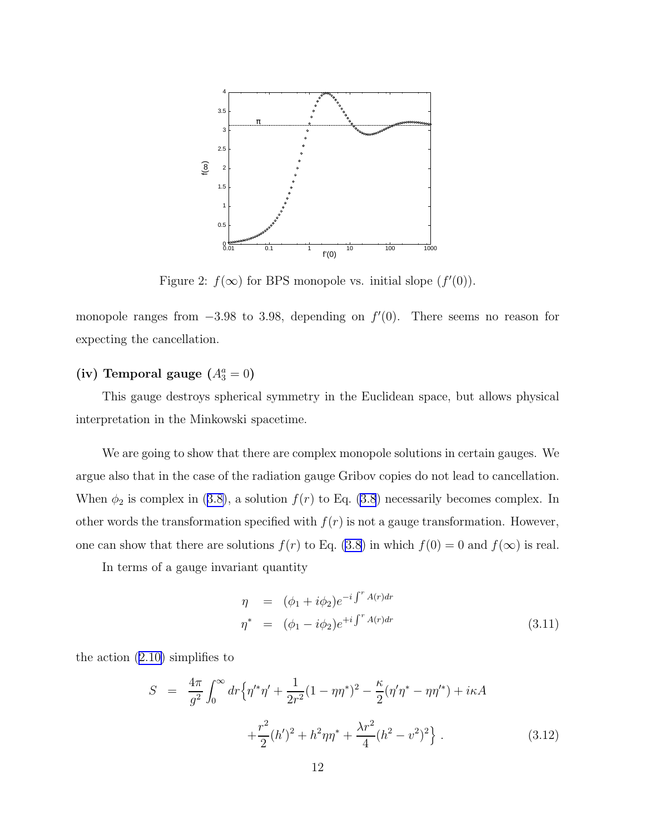

Figure 2:  $f(\infty)$  for BPS monopole vs. initial slope  $(f'(0))$ .

monopole ranges from  $-3.98$  to 3.98, depending on  $f'(0)$ . There seems no reason for expecting the cancellation.

# (iv) Temporal gauge  $(A_3^a = 0)$

This gauge destroys spherical symmetry in the Euclidean space, but allows physical interpretation in the Minkowski spacetime.

We are going to show that there are complex monopole solutions in certain gauges. We argue also that in the case of the radiation gauge Gribov copies do not lead to cancellation. When $\phi_2$  is complex in ([3.8\)](#page-9-0), a solution  $f(r)$  to Eq. [\(3.8](#page-9-0)) necessarily becomes complex. In other words the transformation specified with  $f(r)$  is not a gauge transformation. However, one can show that there are solutions  $f(r)$  to Eq. [\(3.8](#page-9-0)) in which  $f(0) = 0$  and  $f(\infty)$  is real.

In terms of a gauge invariant quantity

$$
\eta = (\phi_1 + i\phi_2)e^{-i\int^r A(r)dr}
$$
  
\n
$$
\eta^* = (\phi_1 - i\phi_2)e^{+i\int^r A(r)dr}
$$
\n(3.11)

the action([2.10\)](#page-5-0) simplifies to

$$
S = \frac{4\pi}{g^2} \int_0^\infty dr \Big\{ \eta'^* \eta' + \frac{1}{2r^2} (1 - \eta \eta^*)^2 - \frac{\kappa}{2} (\eta' \eta^* - \eta \eta'^*) + i\kappa A + \frac{r^2}{2} (h')^2 + h^2 \eta \eta^* + \frac{\lambda r^2}{4} (h^2 - v^2)^2 \Big\} .
$$
 (3.12)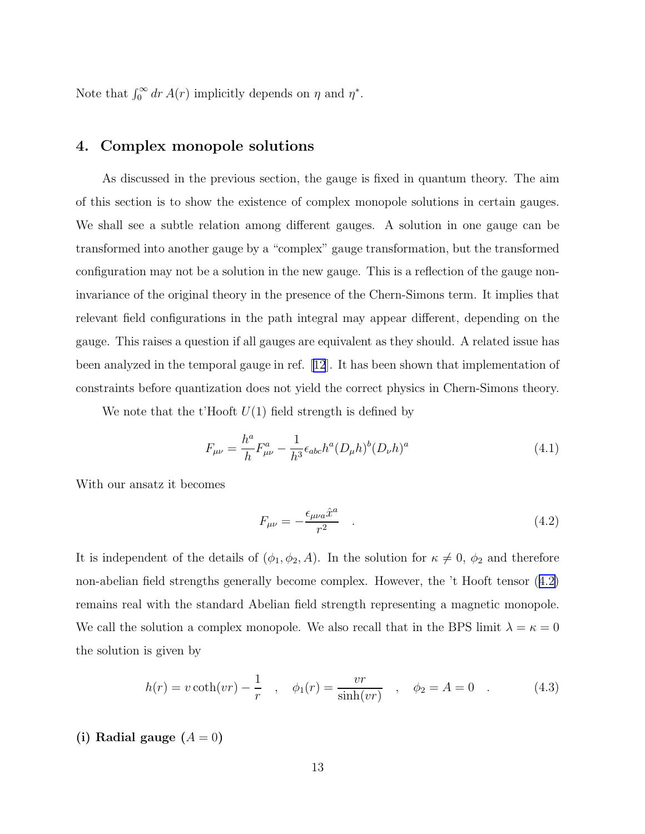Note that  $\int_0^\infty dr A(r)$  implicitly depends on  $\eta$  and  $\eta^*$ .

## 4. Complex monopole solutions

As discussed in the previous section, the gauge is fixed in quantum theory. The aim of this section is to show the existence of complex monopole solutions in certain gauges. We shall see a subtle relation among different gauges. A solution in one gauge can be transformed into another gauge by a "complex" gauge transformation, but the transformed configuration may not be a solution in the new gauge. This is a reflection of the gauge noninvariance of the original theory in the presence of the Chern-Simons term. It implies that relevant field configurations in the path integral may appear different, depending on the gauge. This raises a question if all gauges are equivalent as they should. A related issue has been analyzed in the temporal gauge in ref.[[12](#page-23-0)]. It has been shown that implementation of constraints before quantization does not yield the correct physics in Chern-Simons theory.

We note that the t'Hooft  $U(1)$  field strength is defined by

$$
F_{\mu\nu} = \frac{h^a}{h} F^a_{\mu\nu} - \frac{1}{h^3} \epsilon_{abc} h^a (D_\mu h)^b (D_\nu h)^a
$$
 (4.1)

With our ansatz it becomes

$$
F_{\mu\nu} = -\frac{\epsilon_{\mu\nu a}\hat{x}^a}{r^2} \tag{4.2}
$$

It is independent of the details of  $(\phi_1, \phi_2, A)$ . In the solution for  $\kappa \neq 0$ ,  $\phi_2$  and therefore non-abelian field strengths generally become complex. However, the 't Hooft tensor (4.2) remains real with the standard Abelian field strength representing a magnetic monopole. We call the solution a complex monopole. We also recall that in the BPS limit  $\lambda = \kappa = 0$ the solution is given by

$$
h(r) = v \coth(vr) - \frac{1}{r} \quad , \quad \phi_1(r) = \frac{vr}{\sinh(vr)} \quad , \quad \phi_2 = A = 0 \quad . \tag{4.3}
$$

### (i) Radial gauge  $(A = 0)$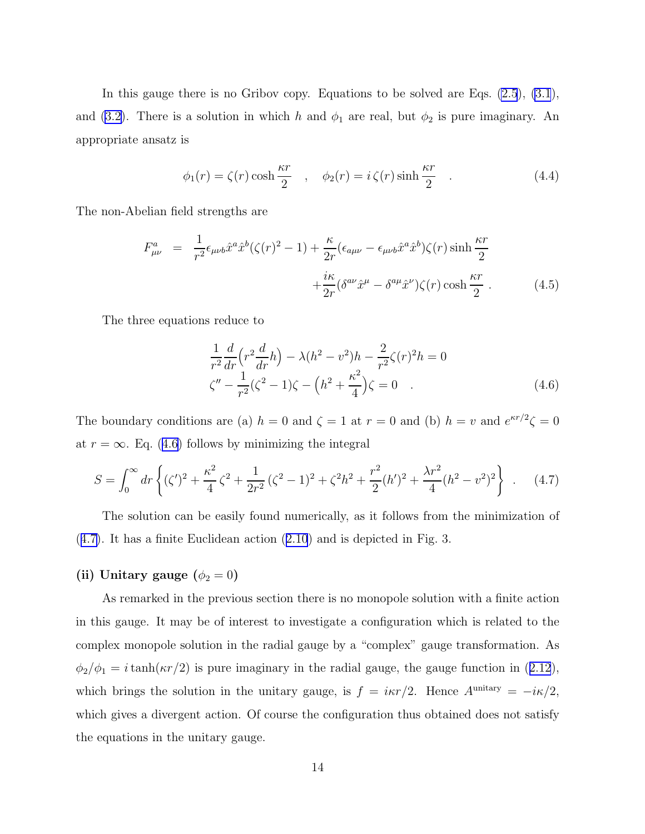In this gauge there is no Gribov copy. Equations to be solved are Eqs. [\(2.5](#page-5-0)), [\(3.1](#page-8-0)), and([3.2\)](#page-8-0). There is a solution in which h and  $\phi_1$  are real, but  $\phi_2$  is pure imaginary. An appropriate ansatz is

$$
\phi_1(r) = \zeta(r) \cosh \frac{\kappa r}{2} \quad , \quad \phi_2(r) = i \zeta(r) \sinh \frac{\kappa r}{2} \quad . \tag{4.4}
$$

The non-Abelian field strengths are

$$
F_{\mu\nu}^{a} = \frac{1}{r^2} \epsilon_{\mu\nu b} \hat{x}^a \hat{x}^b (\zeta(r)^2 - 1) + \frac{\kappa}{2r} (\epsilon_{a\mu\nu} - \epsilon_{\mu\nu b} \hat{x}^a \hat{x}^b) \zeta(r) \sinh \frac{\kappa r}{2} + \frac{i\kappa}{2r} (\delta^{a\nu} \hat{x}^\mu - \delta^{a\mu} \hat{x}^\nu) \zeta(r) \cosh \frac{\kappa r}{2} .
$$
 (4.5)

The three equations reduce to

$$
\frac{1}{r^2}\frac{d}{dr}\left(r^2\frac{d}{dr}h\right) - \lambda(h^2 - v^2)h - \frac{2}{r^2}\zeta(r)^2h = 0
$$
  

$$
\zeta'' - \frac{1}{r^2}(\zeta^2 - 1)\zeta - \left(h^2 + \frac{\kappa^2}{4}\right)\zeta = 0
$$
 (4.6)

The boundary conditions are (a)  $h = 0$  and  $\zeta = 1$  at  $r = 0$  and (b)  $h = v$  and  $e^{\kappa r/2}\zeta = 0$ at  $r = \infty$ . Eq. (4.6) follows by minimizing the integral

$$
S = \int_0^\infty dr \left\{ (\zeta')^2 + \frac{\kappa^2}{4} \zeta^2 + \frac{1}{2r^2} (\zeta^2 - 1)^2 + \zeta^2 h^2 + \frac{r^2}{2} (h')^2 + \frac{\lambda r^2}{4} (h^2 - v^2)^2 \right\} \ . \tag{4.7}
$$

The solution can be easily found numerically, as it follows from the minimization of (4.7). It has a finite Euclidean action([2.10](#page-5-0)) and is depicted in Fig. 3.

## (ii) Unitary gauge  $(\phi_2 = 0)$

As remarked in the previous section there is no monopole solution with a finite action in this gauge. It may be of interest to investigate a configuration which is related to the complex monopole solution in the radial gauge by a "complex" gauge transformation. As  $\phi_2/\phi_1 = i \tanh(\kappa r/2)$  $\phi_2/\phi_1 = i \tanh(\kappa r/2)$  $\phi_2/\phi_1 = i \tanh(\kappa r/2)$  is pure imaginary in the radial gauge, the gauge function in ([2.12](#page-6-0)), which brings the solution in the unitary gauge, is  $f = i\kappa r/2$ . Hence  $A^{\text{unitary}} = -i\kappa/2$ , which gives a divergent action. Of course the configuration thus obtained does not satisfy the equations in the unitary gauge.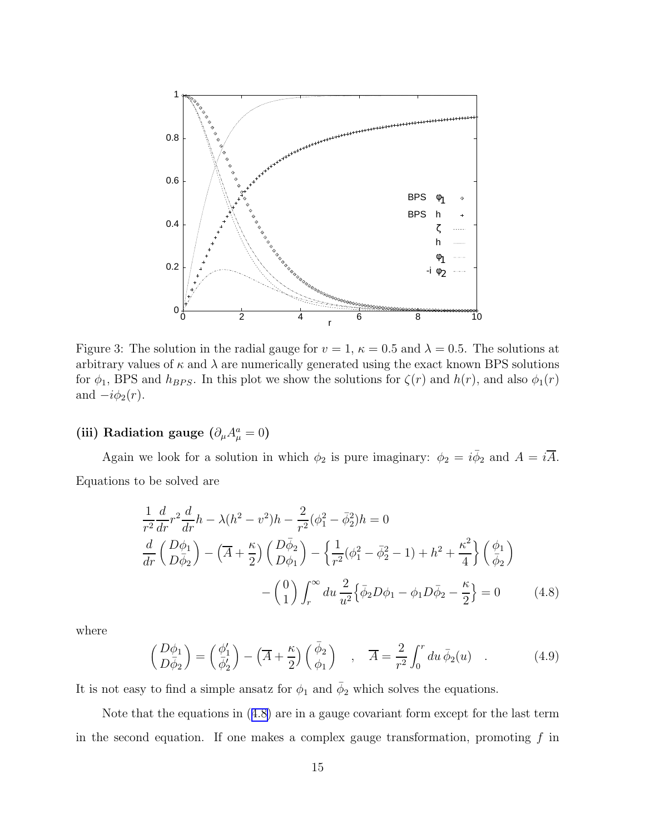<span id="page-14-0"></span>

Figure 3: The solution in the radial gauge for  $v = 1$ ,  $\kappa = 0.5$  and  $\lambda = 0.5$ . The solutions at arbitrary values of  $\kappa$  and  $\lambda$  are numerically generated using the exact known BPS solutions for  $\phi_1$ , BPS and  $h_{BPS}$ . In this plot we show the solutions for  $\zeta(r)$  and  $h(r)$ , and also  $\phi_1(r)$ and  $-i\phi_2(r)$ .

# (iii) Radiation gauge  $(\partial_{\mu}A_{\mu}^{a}=0)$

Again we look for a solution in which  $\phi_2$  is pure imaginary:  $\phi_2 = i \bar{\phi}_2$  and  $A = i \bar{A}$ . Equations to be solved are

$$
\frac{1}{r^2}\frac{d}{dr}r^2\frac{d}{dr}h - \lambda(h^2 - v^2)h - \frac{2}{r^2}(\phi_1^2 - \bar{\phi}_2^2)h = 0
$$
  

$$
\frac{d}{dr}\left(\frac{D\phi_1}{D\bar{\phi}_2}\right) - \left(\overline{A} + \frac{\kappa}{2}\right)\left(\frac{D\bar{\phi}_2}{D\phi_1}\right) - \left\{\frac{1}{r^2}(\phi_1^2 - \bar{\phi}_2^2 - 1) + h^2 + \frac{\kappa^2}{4}\right\}\left(\frac{\phi_1}{\bar{\phi}_2}\right)
$$

$$
-\left(\frac{0}{1}\right)\int_r^\infty du \frac{2}{u^2}\left\{\bar{\phi}_2 D\phi_1 - \phi_1 D\bar{\phi}_2 - \frac{\kappa}{2}\right\} = 0 \tag{4.8}
$$

where

$$
\begin{pmatrix}\nD\phi_1 \\
D\bar{\phi}_2\n\end{pmatrix} = \begin{pmatrix}\n\phi'_1 \\
\bar{\phi}'_2\n\end{pmatrix} - \left(\overline{A} + \frac{\kappa}{2}\right) \begin{pmatrix}\n\bar{\phi}_2 \\
\phi_1\n\end{pmatrix} , \quad \overline{A} = \frac{2}{r^2} \int_0^r du \,\bar{\phi}_2(u) .
$$
\n(4.9)

It is not easy to find a simple ansatz for  $\phi_1$  and  $\bar{\phi}_2$  which solves the equations.

Note that the equations in (4.8) are in a gauge covariant form except for the last term in the second equation. If one makes a complex gauge transformation, promoting  $f$  in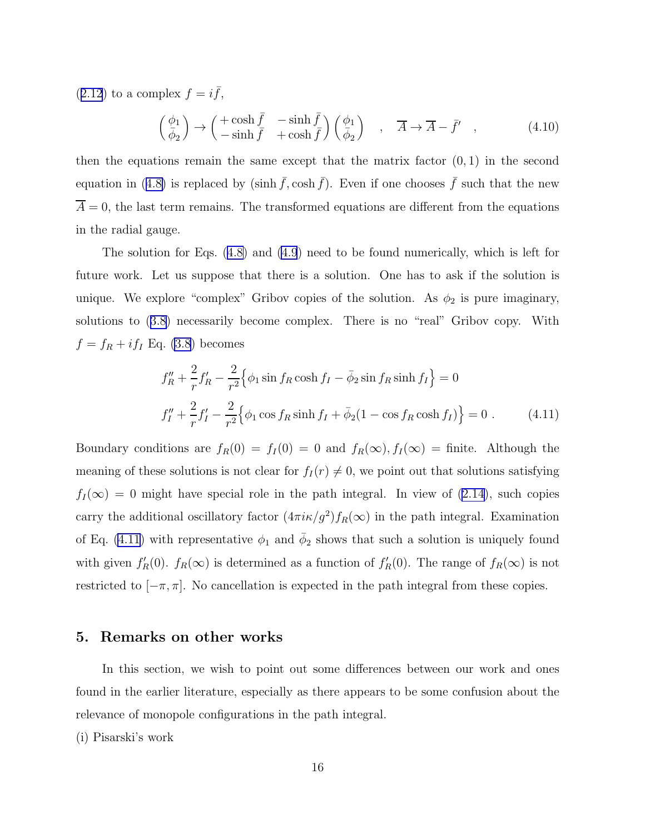$(2.12)$  $(2.12)$  $(2.12)$  to a complex  $f = i\bar{f}$ ,

$$
\begin{pmatrix} \phi_1 \\ \bar{\phi}_2 \end{pmatrix} \rightarrow \begin{pmatrix} +\cosh \bar{f} & -\sinh \bar{f} \\ -\sinh \bar{f} & +\cosh \bar{f} \end{pmatrix} \begin{pmatrix} \phi_1 \\ \bar{\phi}_2 \end{pmatrix} , \quad \overline{A} \rightarrow \overline{A} - \bar{f}' , \qquad (4.10)
$$

then the equations remain the same except that the matrix factor  $(0, 1)$  in the second equationin ([4.8\)](#page-14-0) is replaced by (sinh  $\bar{f}$ , cosh  $\bar{f}$ ). Even if one chooses  $\bar{f}$  such that the new  $\overline{A} = 0$ , the last term remains. The transformed equations are different from the equations in the radial gauge.

The solution for Eqs.([4.8\)](#page-14-0) and [\(4.9](#page-14-0)) need to be found numerically, which is left for future work. Let us suppose that there is a solution. One has to ask if the solution is unique. We explore "complex" Gribov copies of the solution. As  $\phi_2$  is pure imaginary, solutions to([3.8\)](#page-9-0) necessarily become complex. There is no "real" Gribov copy. With  $f = f_R + i f_I$  Eq. [\(3.8](#page-9-0)) becomes

$$
f_R'' + \frac{2}{r} f_R' - \frac{2}{r^2} \Big\{ \phi_1 \sin f_R \cosh f_I - \bar{\phi}_2 \sin f_R \sinh f_I \Big\} = 0
$$
  

$$
f_I'' + \frac{2}{r} f_I' - \frac{2}{r^2} \Big\{ \phi_1 \cos f_R \sinh f_I + \bar{\phi}_2 (1 - \cos f_R \cosh f_I) \Big\} = 0 .
$$
 (4.11)

Boundary conditions are  $f_R(0) = f_I(0) = 0$  and  $f_R(\infty)$ ,  $f_I(\infty) =$  finite. Although the meaning of these solutions is not clear for  $f_I(r) \neq 0$ , we point out that solutions satisfying  $f_I(\infty) = 0$  $f_I(\infty) = 0$  $f_I(\infty) = 0$  might have special role in the path integral. In view of ([2.14\)](#page-6-0), such copies carry the additional oscillatory factor  $(4\pi i \kappa / g^2) f_R(\infty)$  in the path integral. Examination of Eq. (4.11) with representative  $\phi_1$  and  $\bar{\phi}_2$  shows that such a solution is uniquely found with given  $f'_R(0)$ .  $f_R(\infty)$  is determined as a function of  $f'_R(0)$ . The range of  $f_R(\infty)$  is not restricted to  $[-\pi, \pi]$ . No cancellation is expected in the path integral from these copies.

### 5. Remarks on other works

In this section, we wish to point out some differences between our work and ones found in the earlier literature, especially as there appears to be some confusion about the relevance of monopole configurations in the path integral.

(i) Pisarski's work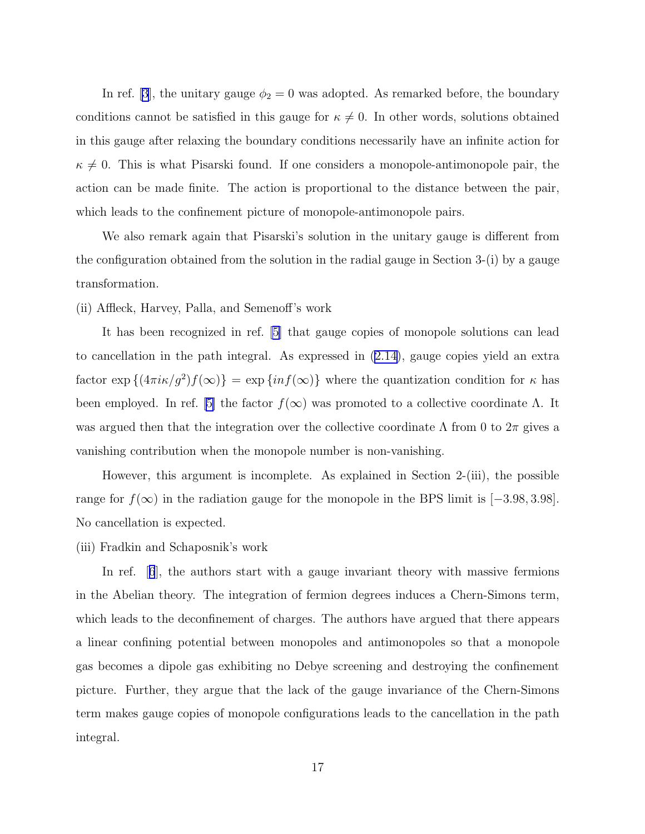In ref. [\[3](#page-23-0)], the unitary gauge  $\phi_2 = 0$  was adopted. As remarked before, the boundary conditions cannot be satisfied in this gauge for  $\kappa \neq 0$ . In other words, solutions obtained in this gauge after relaxing the boundary conditions necessarily have an infinite action for  $\kappa \neq 0$ . This is what Pisarski found. If one considers a monopole-antimonopole pair, the action can be made finite. The action is proportional to the distance between the pair, which leads to the confinement picture of monopole-antimonopole pairs.

We also remark again that Pisarski's solution in the unitary gauge is different from the configuration obtained from the solution in the radial gauge in Section 3-(i) by a gauge transformation.

#### (ii) Affleck, Harvey, Palla, and Semenoff's work

It has been recognized in ref. [\[5\]](#page-23-0) that gauge copies of monopole solutions can lead to cancellation in the path integral. As expressed in([2.14\)](#page-6-0), gauge copies yield an extra factor  $\exp\left\{4\pi i\kappa/g^2\right\} f(\infty)$  =  $\exp\left\{inf(\infty)\right\}$  where the quantization condition for  $\kappa$  has beenemployed. In ref. [[5\]](#page-23-0) the factor  $f(\infty)$  was promoted to a collective coordinate  $\Lambda$ . It was argued then that the integration over the collective coordinate  $\Lambda$  from 0 to  $2\pi$  gives a vanishing contribution when the monopole number is non-vanishing.

However, this argument is incomplete. As explained in Section 2-(iii), the possible range for  $f(\infty)$  in the radiation gauge for the monopole in the BPS limit is [−3.98, 3.98]. No cancellation is expected.

(iii) Fradkin and Schaposnik's work

In ref.[[6](#page-23-0)], the authors start with a gauge invariant theory with massive fermions in the Abelian theory. The integration of fermion degrees induces a Chern-Simons term, which leads to the deconfinement of charges. The authors have argued that there appears a linear confining potential between monopoles and antimonopoles so that a monopole gas becomes a dipole gas exhibiting no Debye screening and destroying the confinement picture. Further, they argue that the lack of the gauge invariance of the Chern-Simons term makes gauge copies of monopole configurations leads to the cancellation in the path integral.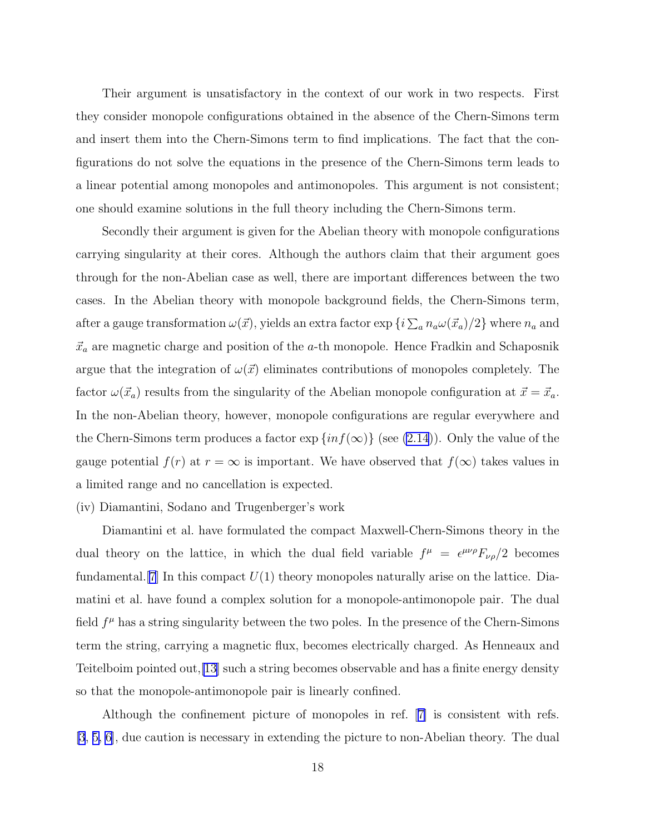Their argument is unsatisfactory in the context of our work in two respects. First they consider monopole configurations obtained in the absence of the Chern-Simons term and insert them into the Chern-Simons term to find implications. The fact that the configurations do not solve the equations in the presence of the Chern-Simons term leads to a linear potential among monopoles and antimonopoles. This argument is not consistent; one should examine solutions in the full theory including the Chern-Simons term.

Secondly their argument is given for the Abelian theory with monopole configurations carrying singularity at their cores. Although the authors claim that their argument goes through for the non-Abelian case as well, there are important differences between the two cases. In the Abelian theory with monopole background fields, the Chern-Simons term, after a gauge transformation  $\omega(\vec{x})$ , yields an extra factor  $\exp\left\{i\sum_{a}n_a\omega(\vec{x}_a)/2\right\}$  where  $n_a$  and  $\vec{x}_a$  are magnetic charge and position of the a-th monopole. Hence Fradkin and Schaposnik argue that the integration of  $\omega(\vec{x})$  eliminates contributions of monopoles completely. The factor  $\omega(\vec{x}_a)$  results from the singularity of the Abelian monopole configuration at  $\vec{x} = \vec{x}_a$ . In the non-Abelian theory, however, monopole configurations are regular everywhere and the Chern-Simons term produces a factor  $\exp\{inf(\infty)\}\$  (see [\(2.14](#page-6-0))). Only the value of the gauge potential  $f(r)$  at  $r = \infty$  is important. We have observed that  $f(\infty)$  takes values in a limited range and no cancellation is expected.

#### (iv) Diamantini, Sodano and Trugenberger's work

Diamantini et al. have formulated the compact Maxwell-Chern-Simons theory in the dual theory on the lattice, in which the dual field variable  $f^{\mu} = \epsilon^{\mu\nu\rho} F_{\nu\rho}/2$  becomes fundamental.  $[7]$  $[7]$  In this compact  $U(1)$  theory monopoles naturally arise on the lattice. Diamatini et al. have found a complex solution for a monopole-antimonopole pair. The dual field  $f^{\mu}$  has a string singularity between the two poles. In the presence of the Chern-Simons term the string, carrying a magnetic flux, becomes electrically charged. As Henneaux and Teitelboim pointed out,[\[13\]](#page-23-0) such a string becomes observable and has a finite energy density so that the monopole-antimonopole pair is linearly confined.

Although the confinement picture of monopoles in ref.[[7\]](#page-23-0) is consistent with refs. [\[3](#page-23-0), [5, 6\]](#page-23-0), due caution is necessary in extending the picture to non-Abelian theory. The dual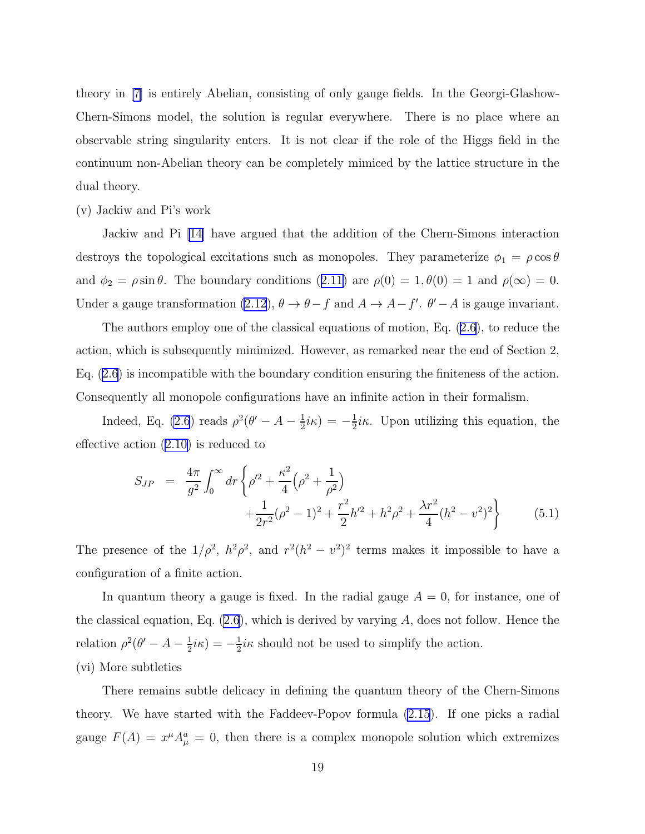theory in [\[7\]](#page-23-0) is entirely Abelian, consisting of only gauge fields. In the Georgi-Glashow-Chern-Simons model, the solution is regular everywhere. There is no place where an observable string singularity enters. It is not clear if the role of the Higgs field in the continuum non-Abelian theory can be completely mimiced by the lattice structure in the dual theory.

#### (v) Jackiw and Pi's work

Jackiw and Pi [\[14\]](#page-23-0) have argued that the addition of the Chern-Simons interaction destroys the topological excitations such as monopoles. They parameterize  $\phi_1 = \rho \cos \theta$ and $\phi_2 = \rho \sin \theta$ . The boundary conditions ([2.11\)](#page-5-0) are  $\rho(0) = 1, \theta(0) = 1$  and  $\rho(\infty) = 0$ . Under a gauge transformation [\(2.12](#page-6-0)),  $\theta \to \theta - f$  and  $A \to A - f'$ .  $\theta' - A$  is gauge invariant.

The authors employ one of the classical equations of motion, Eq. [\(2.6](#page-5-0)), to reduce the action, which is subsequently minimized. However, as remarked near the end of Section 2, Eq. [\(2.6](#page-5-0)) is incompatible with the boundary condition ensuring the finiteness of the action. Consequently all monopole configurations have an infinite action in their formalism.

Indeed, Eq. [\(2.6](#page-5-0)) reads  $\rho^2(\theta' - A - \frac{1}{2})$  $\frac{1}{2}i\kappa) = -\frac{1}{2}$  $\frac{1}{2}i\kappa$ . Upon utilizing this equation, the effective action([2.10\)](#page-5-0) is reduced to

$$
S_{JP} = \frac{4\pi}{g^2} \int_0^\infty dr \left\{ \rho'^2 + \frac{\kappa^2}{4} \left( \rho^2 + \frac{1}{\rho^2} \right) + \frac{1}{2r^2} (\rho^2 - 1)^2 + \frac{r^2}{2} h'^2 + h^2 \rho^2 + \frac{\lambda r^2}{4} (h^2 - v^2)^2 \right\}
$$
(5.1)

The presence of the  $1/\rho^2$ ,  $h^2\rho^2$ , and  $r^2(h^2 - v^2)^2$  terms makes it impossible to have a configuration of a finite action.

In quantum theory a gauge is fixed. In the radial gauge  $A = 0$ , for instance, one of the classical equation, Eq.  $(2.6)$ , which is derived by varying A, does not follow. Hence the relation  $\rho^2(\theta' - A - \frac{1}{2})$  $\frac{1}{2}i\kappa) = -\frac{1}{2}$  $\frac{1}{2}i\kappa$  should not be used to simplify the action. (vi) More subtleties

There remains subtle delicacy in defining the quantum theory of the Chern-Simons theory. We have started with the Faddeev-Popov formula [\(2.15](#page-6-0)). If one picks a radial gauge  $F(A) = x^{\mu} A_{\mu}^{a} = 0$ , then there is a complex monopole solution which extremizes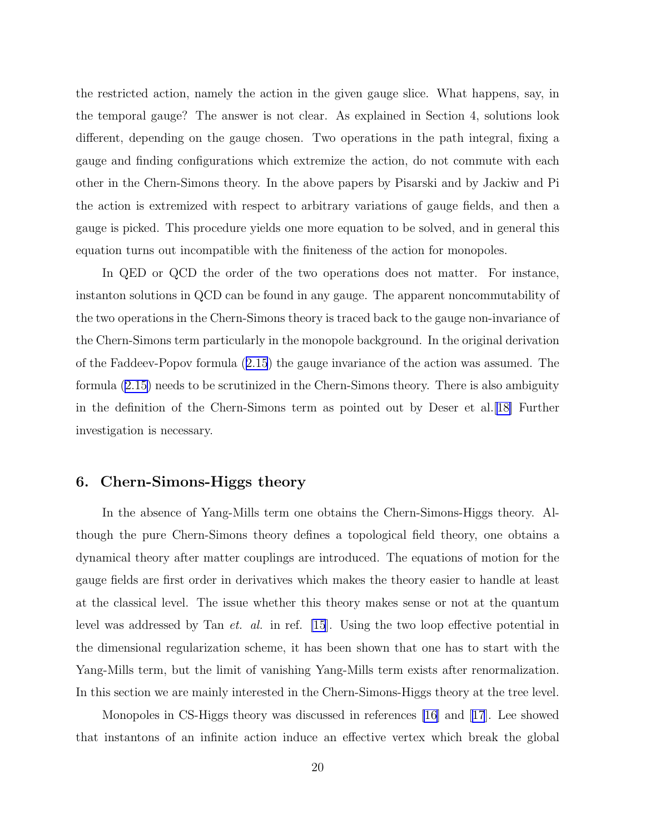the restricted action, namely the action in the given gauge slice. What happens, say, in the temporal gauge? The answer is not clear. As explained in Section 4, solutions look different, depending on the gauge chosen. Two operations in the path integral, fixing a gauge and finding configurations which extremize the action, do not commute with each other in the Chern-Simons theory. In the above papers by Pisarski and by Jackiw and Pi the action is extremized with respect to arbitrary variations of gauge fields, and then a gauge is picked. This procedure yields one more equation to be solved, and in general this equation turns out incompatible with the finiteness of the action for monopoles.

In QED or QCD the order of the two operations does not matter. For instance, instanton solutions in QCD can be found in any gauge. The apparent noncommutability of the two operations in the Chern-Simons theory is traced back to the gauge non-invariance of the Chern-Simons term particularly in the monopole background. In the original derivation of the Faddeev-Popov formula([2.15](#page-6-0)) the gauge invariance of the action was assumed. The formula([2.15\)](#page-6-0) needs to be scrutinized in the Chern-Simons theory. There is also ambiguity in the definition of the Chern-Simons term as pointed out by Deser et al.[\[18\]](#page-23-0) Further investigation is necessary.

### 6. Chern-Simons-Higgs theory

In the absence of Yang-Mills term one obtains the Chern-Simons-Higgs theory. Although the pure Chern-Simons theory defines a topological field theory, one obtains a dynamical theory after matter couplings are introduced. The equations of motion for the gauge fields are first order in derivatives which makes the theory easier to handle at least at the classical level. The issue whether this theory makes sense or not at the quantum level was addressed by Tan et. al. in ref. [\[15](#page-23-0)]. Using the two loop effective potential in the dimensional regularization scheme, it has been shown that one has to start with the Yang-Mills term, but the limit of vanishing Yang-Mills term exists after renormalization. In this section we are mainly interested in the Chern-Simons-Higgs theory at the tree level.

Monopoles in CS-Higgs theory was discussed in references [\[16\]](#page-23-0) and[[17](#page-23-0)]. Lee showed that instantons of an infinite action induce an effective vertex which break the global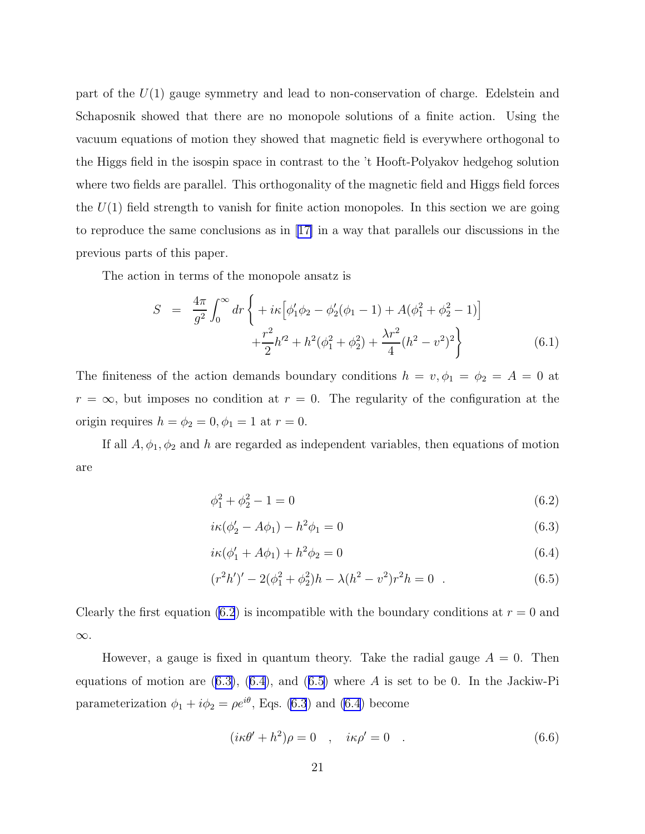part of the  $U(1)$  gauge symmetry and lead to non-conservation of charge. Edelstein and Schaposnik showed that there are no monopole solutions of a finite action. Using the vacuum equations of motion they showed that magnetic field is everywhere orthogonal to the Higgs field in the isospin space in contrast to the 't Hooft-Polyakov hedgehog solution where two fields are parallel. This orthogonality of the magnetic field and Higgs field forces the  $U(1)$  field strength to vanish for finite action monopoles. In this section we are going to reproduce the same conclusions as in[[17\]](#page-23-0) in a way that parallels our discussions in the previous parts of this paper.

The action in terms of the monopole ansatz is

$$
S = \frac{4\pi}{g^2} \int_0^\infty dr \left\{ + i\kappa \left[ \phi_1' \phi_2 - \phi_2' (\phi_1 - 1) + A(\phi_1^2 + \phi_2^2 - 1) \right] + \frac{r^2}{2} h'^2 + h^2 (\phi_1^2 + \phi_2^2) + \frac{\lambda r^2}{4} (h^2 - v^2)^2 \right\}
$$
(6.1)

The finiteness of the action demands boundary conditions  $h = v, \phi_1 = \phi_2 = A = 0$  at  $r = \infty$ , but imposes no condition at  $r = 0$ . The regularity of the configuration at the origin requires  $h = \phi_2 = 0, \phi_1 = 1$  at  $r = 0$ .

If all  $A, \phi_1, \phi_2$  and h are regarded as independent variables, then equations of motion are

$$
\phi_1^2 + \phi_2^2 - 1 = 0 \tag{6.2}
$$

$$
i\kappa(\phi_2' - A\phi_1) - h^2\phi_1 = 0
$$
\n(6.3)

$$
i\kappa(\phi'_1 + A\phi_1) + h^2\phi_2 = 0\tag{6.4}
$$

$$
(r2h')' - 2(\phi_12 + \phi_22)h - \lambda(h2 - v2)r2h = 0 . \t(6.5)
$$

Clearly the first equation (6.2) is incompatible with the boundary conditions at  $r = 0$  and ∞.

However, a gauge is fixed in quantum theory. Take the radial gauge  $A = 0$ . Then equations of motion are  $(6.3)$ ,  $(6.4)$ , and  $(6.5)$  where A is set to be 0. In the Jackiw-Pi parameterization  $\phi_1 + i\phi_2 = \rho e^{i\theta}$ , Eqs. (6.3) and (6.4) become

$$
(i\kappa\theta' + h^2)\rho = 0 \quad , \quad i\kappa\rho' = 0 \quad . \tag{6.6}
$$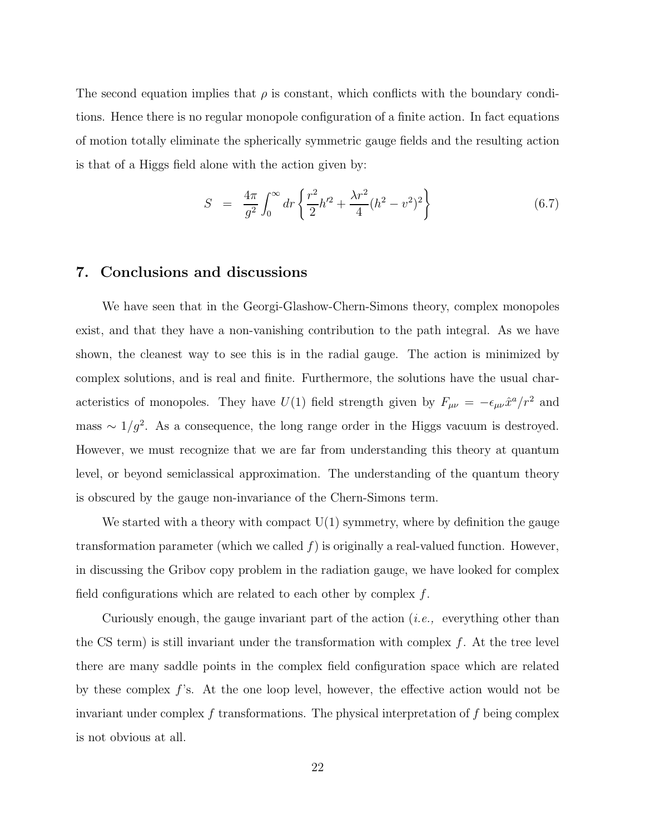The second equation implies that  $\rho$  is constant, which conflicts with the boundary conditions. Hence there is no regular monopole configuration of a finite action. In fact equations of motion totally eliminate the spherically symmetric gauge fields and the resulting action is that of a Higgs field alone with the action given by:

$$
S = \frac{4\pi}{g^2} \int_0^\infty dr \left\{ \frac{r^2}{2} h'^2 + \frac{\lambda r^2}{4} (h^2 - v^2)^2 \right\} \tag{6.7}
$$

### 7. Conclusions and discussions

We have seen that in the Georgi-Glashow-Chern-Simons theory, complex monopoles exist, and that they have a non-vanishing contribution to the path integral. As we have shown, the cleanest way to see this is in the radial gauge. The action is minimized by complex solutions, and is real and finite. Furthermore, the solutions have the usual characteristics of monopoles. They have  $U(1)$  field strength given by  $F_{\mu\nu} = -\epsilon_{\mu\nu}\hat{x}^a/r^2$  and mass  $\sim 1/g^2$ . As a consequence, the long range order in the Higgs vacuum is destroyed. However, we must recognize that we are far from understanding this theory at quantum level, or beyond semiclassical approximation. The understanding of the quantum theory is obscured by the gauge non-invariance of the Chern-Simons term.

We started with a theory with compact  $U(1)$  symmetry, where by definition the gauge transformation parameter (which we called  $f$ ) is originally a real-valued function. However, in discussing the Gribov copy problem in the radiation gauge, we have looked for complex field configurations which are related to each other by complex  $f$ .

Curiously enough, the gauge invariant part of the action (i.e., everything other than the CS term) is still invariant under the transformation with complex  $f$ . At the tree level there are many saddle points in the complex field configuration space which are related by these complex  $f$ 's. At the one loop level, however, the effective action would not be invariant under complex  $f$  transformations. The physical interpretation of  $f$  being complex is not obvious at all.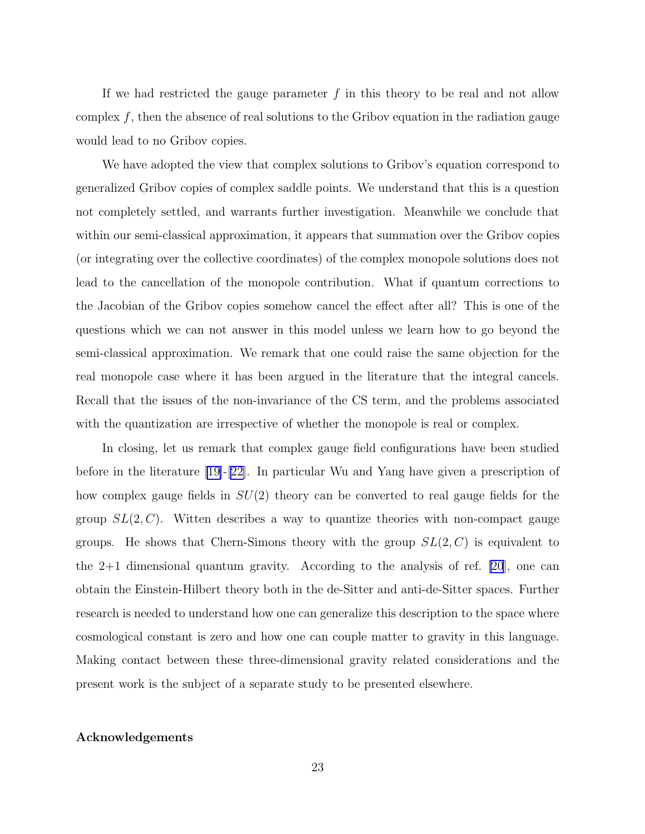If we had restricted the gauge parameter  $f$  in this theory to be real and not allow complex  $f$ , then the absence of real solutions to the Gribov equation in the radiation gauge would lead to no Gribov copies.

We have adopted the view that complex solutions to Gribov's equation correspond to generalized Gribov copies of complex saddle points. We understand that this is a question not completely settled, and warrants further investigation. Meanwhile we conclude that within our semi-classical approximation, it appears that summation over the Gribov copies (or integrating over the collective coordinates) of the complex monopole solutions does not lead to the cancellation of the monopole contribution. What if quantum corrections to the Jacobian of the Gribov copies somehow cancel the effect after all? This is one of the questions which we can not answer in this model unless we learn how to go beyond the semi-classical approximation. We remark that one could raise the same objection for the real monopole case where it has been argued in the literature that the integral cancels. Recall that the issues of the non-invariance of the CS term, and the problems associated with the quantization are irrespective of whether the monopole is real or complex.

In closing, let us remark that complex gauge field configurations have been studied before in the literature [\[19\]](#page-23-0)-[\[22\]](#page-23-0). In particular Wu and Yang have given a prescription of how complex gauge fields in  $SU(2)$  theory can be converted to real gauge fields for the group  $SL(2, C)$ . Witten describes a way to quantize theories with non-compact gauge groups. He shows that Chern-Simons theory with the group  $SL(2, C)$  is equivalent to the 2+1 dimensional quantum gravity. According to the analysis of ref. [\[20](#page-23-0)], one can obtain the Einstein-Hilbert theory both in the de-Sitter and anti-de-Sitter spaces. Further research is needed to understand how one can generalize this description to the space where cosmological constant is zero and how one can couple matter to gravity in this language. Making contact between these three-dimensional gravity related considerations and the present work is the subject of a separate study to be presented elsewhere.

#### Acknowledgements